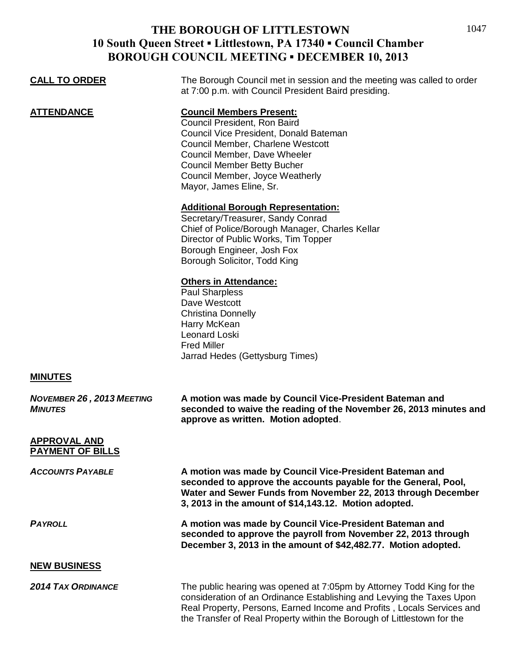## **THE BOROUGH OF LITTLESTOWN 10 South Queen Street ▪ Littlestown, PA 17340 ▪ Council Chamber BOROUGH COUNCIL MEETING ▪ DECEMBER 10, 2013**

1047

| <b>CALL TO ORDER</b>                           | The Borough Council met in session and the meeting was called to order<br>at 7:00 p.m. with Council President Baird presiding.                                                                                                                                                                      |
|------------------------------------------------|-----------------------------------------------------------------------------------------------------------------------------------------------------------------------------------------------------------------------------------------------------------------------------------------------------|
| <b>ATTENDANCE</b>                              | <b>Council Members Present:</b><br>Council President, Ron Baird<br>Council Vice President, Donald Bateman<br>Council Member, Charlene Westcott<br>Council Member, Dave Wheeler<br><b>Council Member Betty Bucher</b><br>Council Member, Joyce Weatherly<br>Mayor, James Eline, Sr.                  |
|                                                | <b>Additional Borough Representation:</b><br>Secretary/Treasurer, Sandy Conrad<br>Chief of Police/Borough Manager, Charles Kellar<br>Director of Public Works, Tim Topper<br>Borough Engineer, Josh Fox<br>Borough Solicitor, Todd King                                                             |
|                                                | <b>Others in Attendance:</b><br><b>Paul Sharpless</b><br>Dave Westcott<br><b>Christina Donnelly</b><br>Harry McKean<br>Leonard Loski<br><b>Fred Miller</b><br>Jarrad Hedes (Gettysburg Times)                                                                                                       |
| <b>MINUTES</b>                                 |                                                                                                                                                                                                                                                                                                     |
| NOVEMBER 26, 2013 MEETING<br><b>MINUTES</b>    | A motion was made by Council Vice-President Bateman and<br>seconded to waive the reading of the November 26, 2013 minutes and<br>approve as written. Motion adopted.                                                                                                                                |
| <b>APPROVAL AND</b><br><b>PAYMENT OF BILLS</b> |                                                                                                                                                                                                                                                                                                     |
| <b>ACCOUNTS PAYABLE</b>                        | A motion was made by Council Vice-President Bateman and<br>seconded to approve the accounts payable for the General, Pool,<br>Water and Sewer Funds from November 22, 2013 through December<br>3, 2013 in the amount of \$14,143.12. Motion adopted.                                                |
| <b>PAYROLL</b>                                 | A motion was made by Council Vice-President Bateman and<br>seconded to approve the payroll from November 22, 2013 through<br>December 3, 2013 in the amount of \$42,482.77. Motion adopted.                                                                                                         |
| <b>NEW BUSINESS</b>                            |                                                                                                                                                                                                                                                                                                     |
| <b>2014 TAX ORDINANCE</b>                      | The public hearing was opened at 7:05pm by Attorney Todd King for the<br>consideration of an Ordinance Establishing and Levying the Taxes Upon<br>Real Property, Persons, Earned Income and Profits, Locals Services and<br>the Transfer of Real Property within the Borough of Littlestown for the |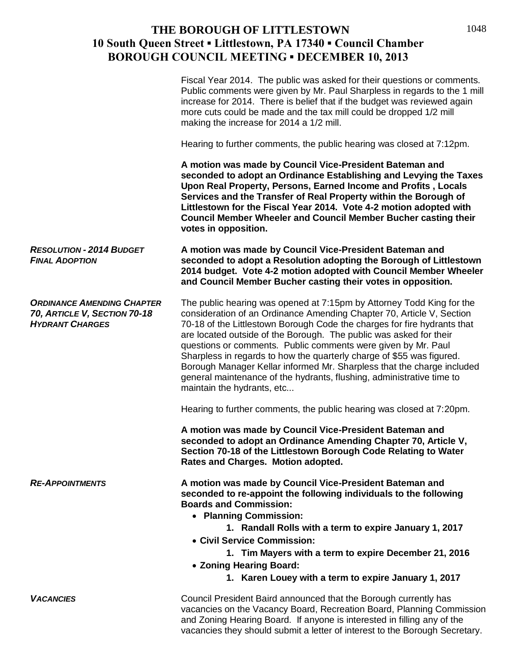## **THE BOROUGH OF LITTLESTOWN 10 South Queen Street ▪ Littlestown, PA 17340 ▪ Council Chamber BOROUGH COUNCIL MEETING ▪ DECEMBER 10, 2013**

|                                                                                             | Fiscal Year 2014. The public was asked for their questions or comments.<br>Public comments were given by Mr. Paul Sharpless in regards to the 1 mill<br>increase for 2014. There is belief that if the budget was reviewed again<br>more cuts could be made and the tax mill could be dropped 1/2 mill<br>making the increase for 2014 a 1/2 mill.                                                                                                                                                                                                                                                                          |
|---------------------------------------------------------------------------------------------|-----------------------------------------------------------------------------------------------------------------------------------------------------------------------------------------------------------------------------------------------------------------------------------------------------------------------------------------------------------------------------------------------------------------------------------------------------------------------------------------------------------------------------------------------------------------------------------------------------------------------------|
|                                                                                             | Hearing to further comments, the public hearing was closed at 7:12pm.                                                                                                                                                                                                                                                                                                                                                                                                                                                                                                                                                       |
|                                                                                             | A motion was made by Council Vice-President Bateman and<br>seconded to adopt an Ordinance Establishing and Levying the Taxes<br>Upon Real Property, Persons, Earned Income and Profits, Locals<br>Services and the Transfer of Real Property within the Borough of<br>Littlestown for the Fiscal Year 2014. Vote 4-2 motion adopted with<br>Council Member Wheeler and Council Member Bucher casting their<br>votes in opposition.                                                                                                                                                                                          |
| <b>RESOLUTION - 2014 BUDGET</b><br><b>FINAL ADOPTION</b>                                    | A motion was made by Council Vice-President Bateman and<br>seconded to adopt a Resolution adopting the Borough of Littlestown<br>2014 budget. Vote 4-2 motion adopted with Council Member Wheeler<br>and Council Member Bucher casting their votes in opposition.                                                                                                                                                                                                                                                                                                                                                           |
| <b>ORDINANCE AMENDING CHAPTER</b><br>70, ARTICLE V, SECTION 70-18<br><b>HYDRANT CHARGES</b> | The public hearing was opened at 7:15pm by Attorney Todd King for the<br>consideration of an Ordinance Amending Chapter 70, Article V, Section<br>70-18 of the Littlestown Borough Code the charges for fire hydrants that<br>are located outside of the Borough. The public was asked for their<br>questions or comments. Public comments were given by Mr. Paul<br>Sharpless in regards to how the quarterly charge of \$55 was figured.<br>Borough Manager Kellar informed Mr. Sharpless that the charge included<br>general maintenance of the hydrants, flushing, administrative time to<br>maintain the hydrants, etc |
|                                                                                             | Hearing to further comments, the public hearing was closed at 7:20pm.                                                                                                                                                                                                                                                                                                                                                                                                                                                                                                                                                       |
|                                                                                             | A motion was made by Council Vice-President Bateman and<br>seconded to adopt an Ordinance Amending Chapter 70, Article V,<br>Section 70-18 of the Littlestown Borough Code Relating to Water<br>Rates and Charges. Motion adopted.                                                                                                                                                                                                                                                                                                                                                                                          |
| <b>RE-APPOINTMENTS</b>                                                                      | A motion was made by Council Vice-President Bateman and<br>seconded to re-appoint the following individuals to the following<br><b>Boards and Commission:</b><br>• Planning Commission:<br>1. Randall Rolls with a term to expire January 1, 2017<br>• Civil Service Commission:<br>1. Tim Mayers with a term to expire December 21, 2016                                                                                                                                                                                                                                                                                   |
|                                                                                             | • Zoning Hearing Board:                                                                                                                                                                                                                                                                                                                                                                                                                                                                                                                                                                                                     |
|                                                                                             | 1. Karen Louey with a term to expire January 1, 2017                                                                                                                                                                                                                                                                                                                                                                                                                                                                                                                                                                        |
| <b>VACANCIES</b>                                                                            | Council President Baird announced that the Borough currently has<br>vacancies on the Vacancy Board, Recreation Board, Planning Commission<br>and Zoning Hearing Board. If anyone is interested in filling any of the<br>vacancies they should submit a letter of interest to the Borough Secretary.                                                                                                                                                                                                                                                                                                                         |